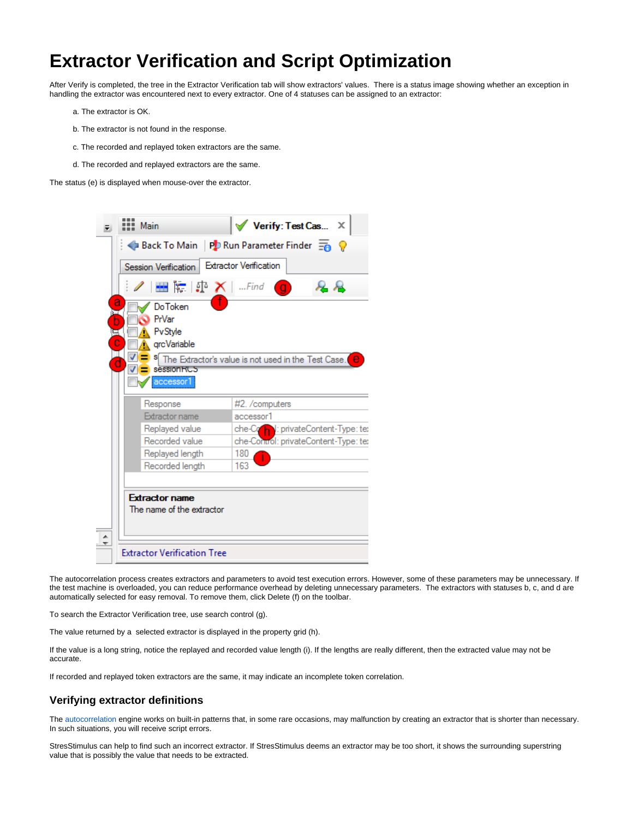## **Extractor Verification and Script Optimization**

After Verify is completed, the tree in the Extractor Verification tab will show extractors' values. There is a status image showing whether an exception in handling the extractor was encountered next to every extractor. One of 4 statuses can be assigned to an extractor:

- a. The extractor is OK.
- b. The extractor is not found in the response.
- c. The recorded and replayed token extractors are the same.
- d. The recorded and replayed extractors are the same.

The status (e) is displayed when mouse-over the extractor.



The autocorrelation process creates extractors and parameters to avoid test execution errors. However, some of these parameters may be unnecessary. If the test machine is overloaded, you can reduce performance overhead by deleting unnecessary parameters. The extractors with statuses b, c, and d are automatically selected for easy removal. To remove them, click Delete (f) on the toolbar.

To search the Extractor Verification tree, use search control (g).

The value returned by a selected extractor is displayed in the property grid (h).

If the value is a long string, notice the replayed and recorded value length (i). If the lengths are really different, then the extracted value may not be accurate.

If recorded and replayed token extractors are the same, it may indicate an incomplete token correlation.

## **Verifying extractor definitions**

The [autocorrelation](https://support.stresstimulus.com/display/doc53/AutoCorrelation) engine works on built-in patterns that, in some rare occasions, may malfunction by creating an extractor that is shorter than necessary. In such situations, you will receive script errors.

StresStimulus can help to find such an incorrect extractor. If StresStimulus deems an extractor may be too short, it shows the surrounding superstring value that is possibly the value that needs to be extracted.